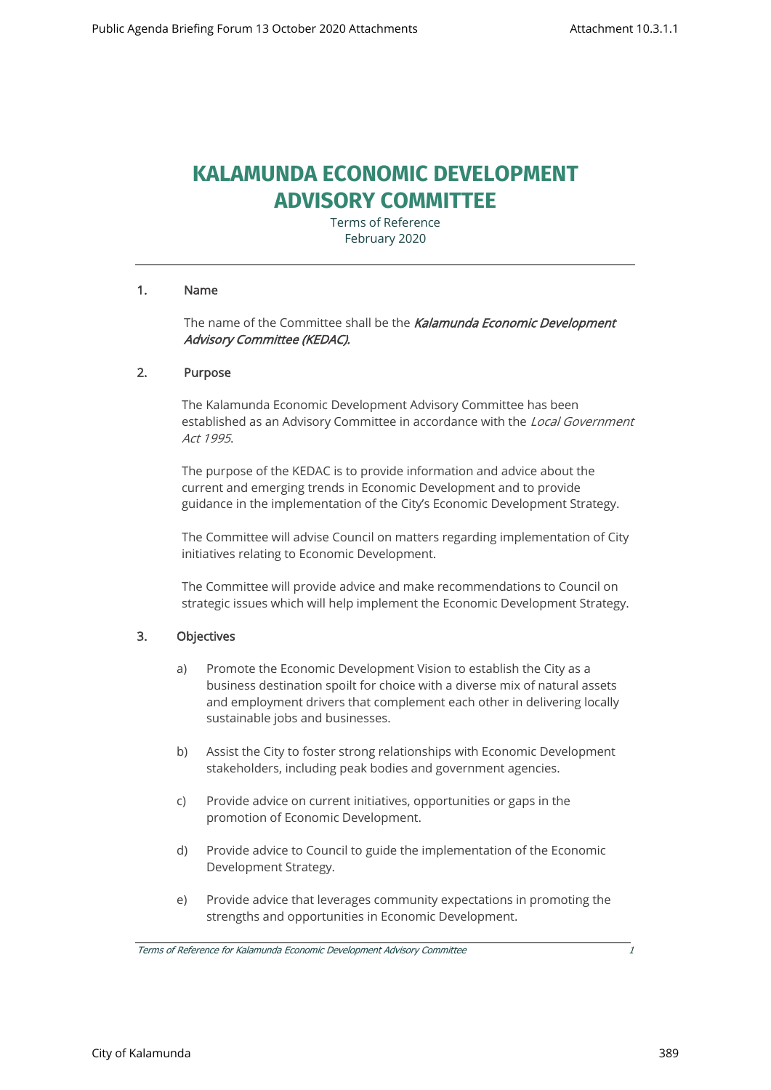# **KALAMUNDA ECONOMIC DEVELOPMENT ADVISORY COMMITTEE**

Terms of Reference February 2020

#### 1. Name

The name of the Committee shall be the Kalamunda Economic Development Advisory Committee (KEDAC).

#### 2. Purpose

The Kalamunda Economic Development Advisory Committee has been established as an Advisory Committee in accordance with the Local Government Act 1995.

The purpose of the KEDAC is to provide information and advice about the current and emerging trends in Economic Development and to provide guidance in the implementation of the City's Economic Development Strategy.

The Committee will advise Council on matters regarding implementation of City initiatives relating to Economic Development.

The Committee will provide advice and make recommendations to Council on strategic issues which will help implement the Economic Development Strategy.

#### 3. Objectives

- a) Promote the Economic Development Vision to establish the City as a business destination spoilt for choice with a diverse mix of natural assets and employment drivers that complement each other in delivering locally sustainable jobs and businesses.
- b) Assist the City to foster strong relationships with Economic Development stakeholders, including peak bodies and government agencies.
- c) Provide advice on current initiatives, opportunities or gaps in the promotion of Economic Development.
- d) Provide advice to Council to guide the implementation of the Economic Development Strategy.
- e) Provide advice that leverages community expectations in promoting the strengths and opportunities in Economic Development.

Terms of Reference for Kalamunda Economic Development Advisory Committee 1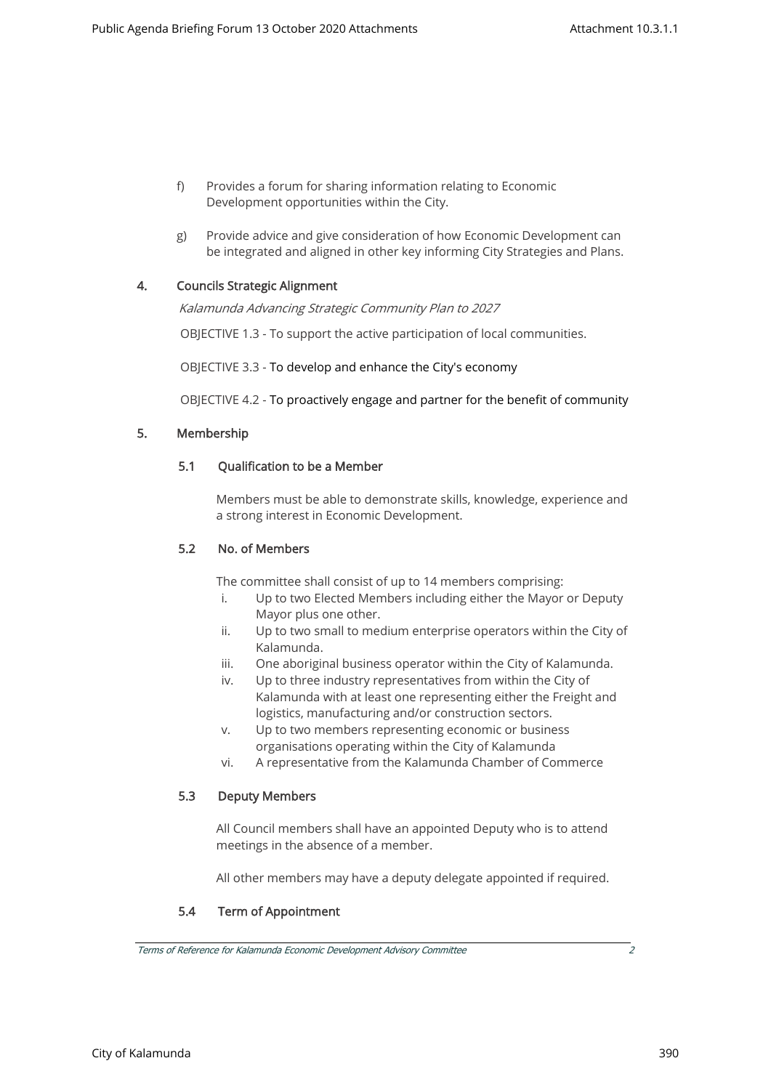- f) Provides a forum for sharing information relating to Economic Development opportunities within the City.
- g) Provide advice and give consideration of how Economic Development can be integrated and aligned in other key informing City Strategies and Plans.

## 4. Councils Strategic Alignment

Kalamunda Advancing Strategic Community Plan to 2027

OBJECTIVE 1.3 - To support the active participation of local communities.

OBJECTIVE 3.3 - To develop and enhance the City's economy

OBJECTIVE 4.2 - To proactively engage and partner for the benefit of community

#### 5. Membership

#### 5.1 Qualification to be a Member

Members must be able to demonstrate skills, knowledge, experience and a strong interest in Economic Development.

#### 5.2 No. of Members

The committee shall consist of up to 14 members comprising:

- i. Up to two Elected Members including either the Mayor or Deputy Mayor plus one other.
- ii. Up to two small to medium enterprise operators within the City of Kalamunda.
- iii. One aboriginal business operator within the City of Kalamunda.
- iv. Up to three industry representatives from within the City of Kalamunda with at least one representing either the Freight and logistics, manufacturing and/or construction sectors.
- v. Up to two members representing economic or business organisations operating within the City of Kalamunda
- vi. A representative from the Kalamunda Chamber of Commerce

#### 5.3 Deputy Members

All Council members shall have an appointed Deputy who is to attend meetings in the absence of a member.

All other members may have a deputy delegate appointed if required.

# 5.4 Term of Appointment

Terms of Reference for Kalamunda Economic Development Advisory Committee 2

City of Kalamunda 390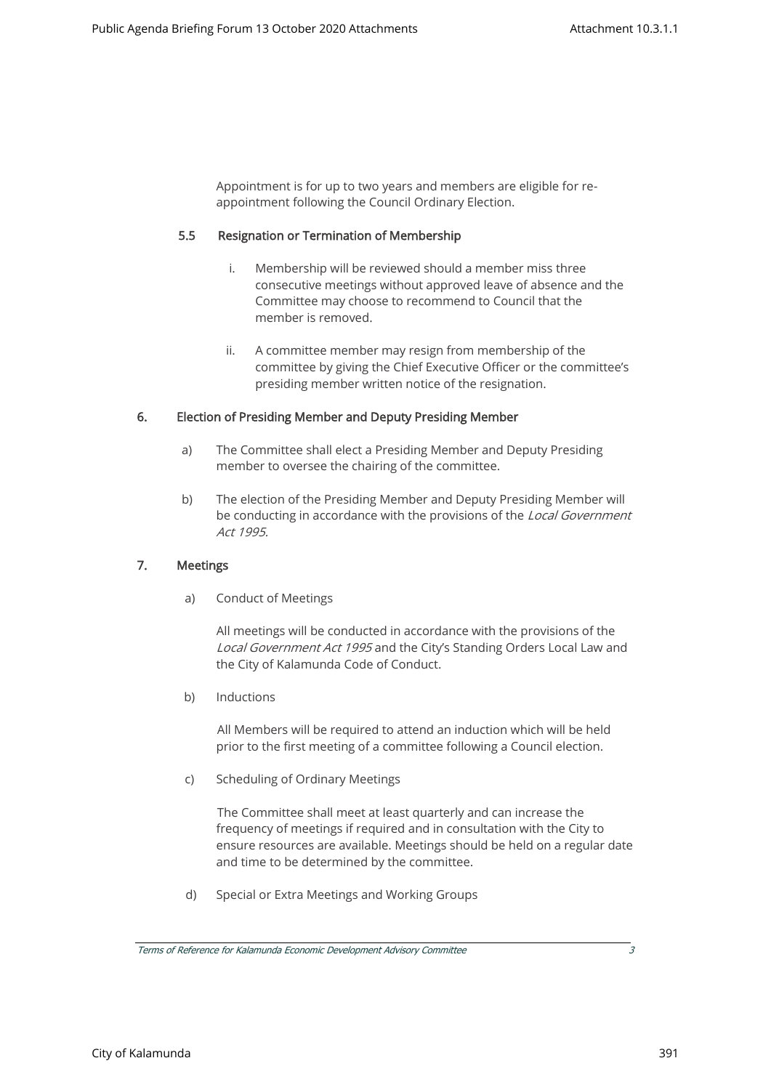Appointment is for up to two years and members are eligible for reappointment following the Council Ordinary Election.

#### 5.5 Resignation or Termination of Membership

- i. Membership will be reviewed should a member miss three consecutive meetings without approved leave of absence and the Committee may choose to recommend to Council that the member is removed.
- ii. A committee member may resign from membership of the committee by giving the Chief Executive Officer or the committee's presiding member written notice of the resignation.

#### 6. Election of Presiding Member and Deputy Presiding Member

- a) The Committee shall elect a Presiding Member and Deputy Presiding member to oversee the chairing of the committee.
- b) The election of the Presiding Member and Deputy Presiding Member will be conducting in accordance with the provisions of the Local Government Act 1995.

#### 7. Meetings

a) Conduct of Meetings

All meetings will be conducted in accordance with the provisions of the Local Government Act 1995 and the City's Standing Orders Local Law and the City of Kalamunda Code of Conduct.

b) Inductions

All Members will be required to attend an induction which will be held prior to the first meeting of a committee following a Council election.

c) Scheduling of Ordinary Meetings

The Committee shall meet at least quarterly and can increase the frequency of meetings if required and in consultation with the City to ensure resources are available. Meetings should be held on a regular date and time to be determined by the committee.

d) Special or Extra Meetings and Working Groups

Terms of Reference for Kalamunda Economic Development Advisory Committee 3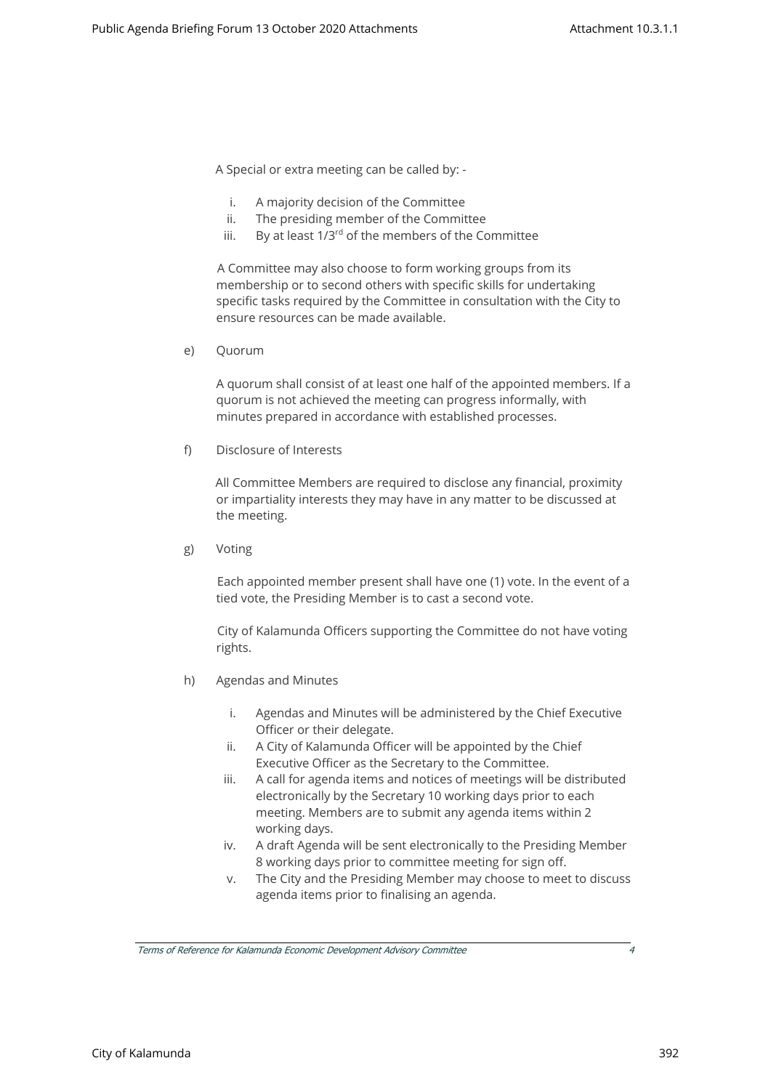A Special or extra meeting can be called by: -

- i. A majority decision of the Committee
- ii. The presiding member of the Committee
- iii. By at least  $1/3^{rd}$  of the members of the Committee

A Committee may also choose to form working groups from its membership or to second others with specific skills for undertaking specific tasks required by the Committee in consultation with the City to ensure resources can be made available.

e) Quorum

A quorum shall consist of at least one half of the appointed members. If a quorum is not achieved the meeting can progress informally, with minutes prepared in accordance with established processes.

f) Disclosure of Interests

All Committee Members are required to disclose any financial, proximity or impartiality interests they may have in any matter to be discussed at the meeting.

g) Voting

Each appointed member present shall have one (1) vote. In the event of a tied vote, the Presiding Member is to cast a second vote.

City of Kalamunda Officers supporting the Committee do not have voting rights.

- h) Agendas and Minutes
	- i. Agendas and Minutes will be administered by the Chief Executive Officer or their delegate.
	- ii. A City of Kalamunda Officer will be appointed by the Chief Executive Officer as the Secretary to the Committee.
	- iii. A call for agenda items and notices of meetings will be distributed electronically by the Secretary 10 working days prior to each meeting. Members are to submit any agenda items within 2 working days.
	- iv. A draft Agenda will be sent electronically to the Presiding Member 8 working days prior to committee meeting for sign off.
	- v. The City and the Presiding Member may choose to meet to discuss agenda items prior to finalising an agenda.

Terms of Reference for Kalamunda Economic Development Advisory Committee 4